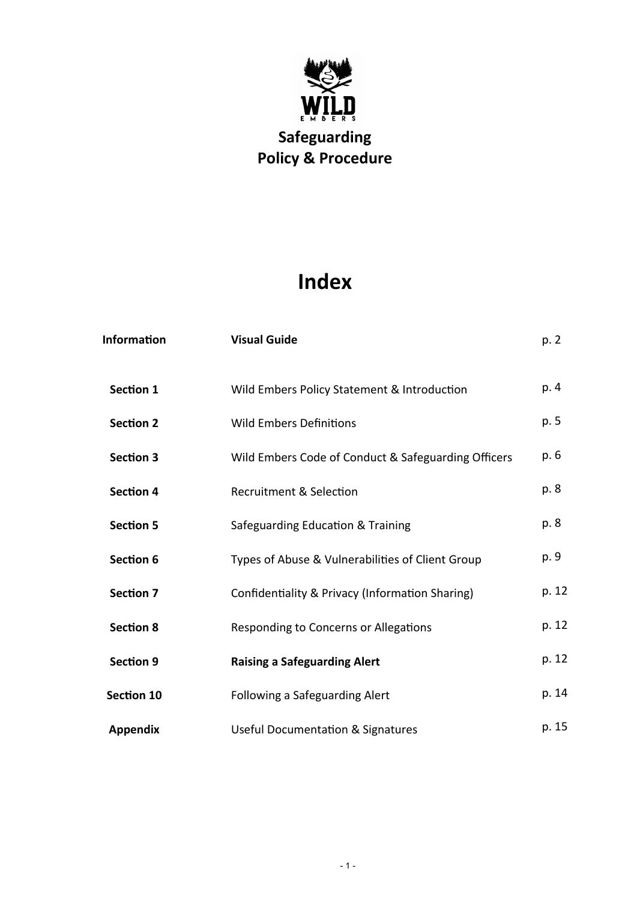

# **Index**

| Information      | <b>Visual Guide</b>                                 | p. 2  |
|------------------|-----------------------------------------------------|-------|
| Section 1        | Wild Embers Policy Statement & Introduction         | p. 4  |
| <b>Section 2</b> | <b>Wild Embers Definitions</b>                      | p. 5  |
| <b>Section 3</b> | Wild Embers Code of Conduct & Safeguarding Officers | p. 6  |
| Section 4        | Recruitment & Selection                             | p. 8  |
| <b>Section 5</b> | Safeguarding Education & Training                   | p. 8  |
| Section 6        | Types of Abuse & Vulnerabilities of Client Group    | p. 9  |
| <b>Section 7</b> | Confidentiality & Privacy (Information Sharing)     | p. 12 |
| <b>Section 8</b> | Responding to Concerns or Allegations               | p. 12 |
| <b>Section 9</b> | <b>Raising a Safeguarding Alert</b>                 | p. 12 |
| Section 10       | Following a Safeguarding Alert                      | p. 14 |
| <b>Appendix</b>  | <b>Useful Documentation &amp; Signatures</b>        | p. 15 |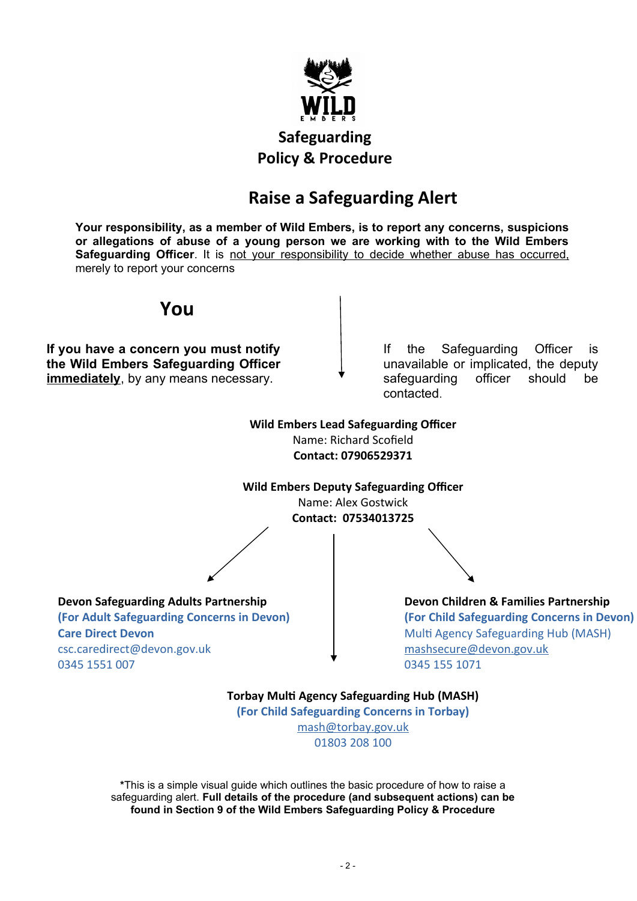

# **Raise a Safeguarding Alert**

**Your responsibility, as a member of Wild Embers, is to report any concerns, suspicions or allegations of abuse of a young person we are working with to the Wild Embers Safeguarding Officer**. It is not your responsibility to decide whether abuse has occurred, merely to report your concerns

# **You**

**If you have a concern you must notify the Wild Embers Safeguarding Officer immediately**, by any means necessary.

If the Safeguarding Officer is unavailable or implicated, the deputy safeguarding officer should be contacted.

**Wild Embers Lead Safeguarding Officer** Name: Richard Scofield **Contact: 07906529371**

**Wild Embers Deputy Safeguarding Officer** Name: Alex Gostwick **Contact: 07534013725**

**Devon Safeguarding Adults Partnership Devon Children & Families Partnership (For Adult Safeguarding Concerns in Devon) (For Child Safeguarding Concerns in Devon) Care Direct Devon Care Direct Devon Care Direct Devon Multi Agency Safeguarding Hub (MASH)** [csc.caredirect@devon.gov.uk](mailto:csc.caredirect@devon.gov.uk) [mashsecure@devon.gov.uk](mailto:mashsecure@devon.gov.uk) 0345 1551 007 0345 155 1071

**Torbay Multi Agency Safeguarding Hub (MASH) (For Child Safeguarding Concerns in Torbay)** [mash@torbay.gov.uk](mailto:mash@torbay.gov.uk) 01803 208 100

**\***This is a simple visual guide which outlines the basic procedure of how to raise a safeguarding alert. **Full details of the procedure (and subsequent actions) can be found in Section 9 of the Wild Embers Safeguarding Policy & Procedure**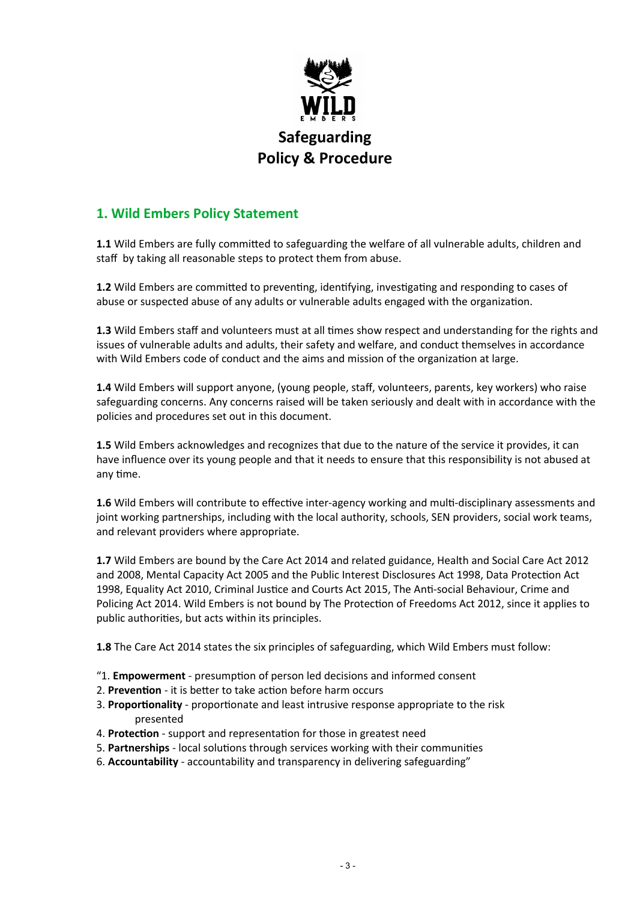

# **1. Wild Embers Policy Statement**

**1.1** Wild Embers are fully committed to safeguarding the welfare of all vulnerable adults, children and staff by taking all reasonable steps to protect them from abuse.

**1.2** Wild Embers are committed to preventing, identifying, investigating and responding to cases of abuse or suspected abuse of any adults or vulnerable adults engaged with the organization.

**1.3** Wild Embers staff and volunteers must at all times show respect and understanding for the rights and issues of vulnerable adults and adults, their safety and welfare, and conduct themselves in accordance with Wild Embers code of conduct and the aims and mission of the organization at large.

**1.4** Wild Embers will support anyone, (young people, staff, volunteers, parents, key workers) who raise safeguarding concerns. Any concerns raised will be taken seriously and dealt with in accordance with the policies and procedures set out in this document.

**1.5** Wild Embers acknowledges and recognizes that due to the nature of the service it provides, it can have influence over its young people and that it needs to ensure that this responsibility is not abused at any time.

**1.6** Wild Embers will contribute to effective inter-agency working and multi-disciplinary assessments and joint working partnerships, including with the local authority, schools, SEN providers, social work teams, and relevant providers where appropriate.

**1.7** Wild Embers are bound by the Care Act 2014 and related guidance, Health and Social Care Act 2012 and 2008, Mental Capacity Act 2005 and the Public Interest Disclosures Act 1998, Data Protection Act 1998, Equality Act 2010, Criminal Justice and Courts Act 2015, The Anti-social Behaviour, Crime and Policing Act 2014. Wild Embers is not bound by The Protection of Freedoms Act 2012, since it applies to public authorities, but acts within its principles.

**1.8** The Care Act 2014 states the six principles of safeguarding, which Wild Embers must follow:

- "1. **Empowerment** presumption of person led decisions and informed consent
- 2. **Prevention** it is better to take action before harm occurs
- 3. **Proportionality** proportionate and least intrusive response appropriate to the risk presented
- 4. **Protection** support and representation for those in greatest need
- 5. **Partnerships** local solutions through services working with their communities
- 6. **Accountability** accountability and transparency in delivering safeguarding"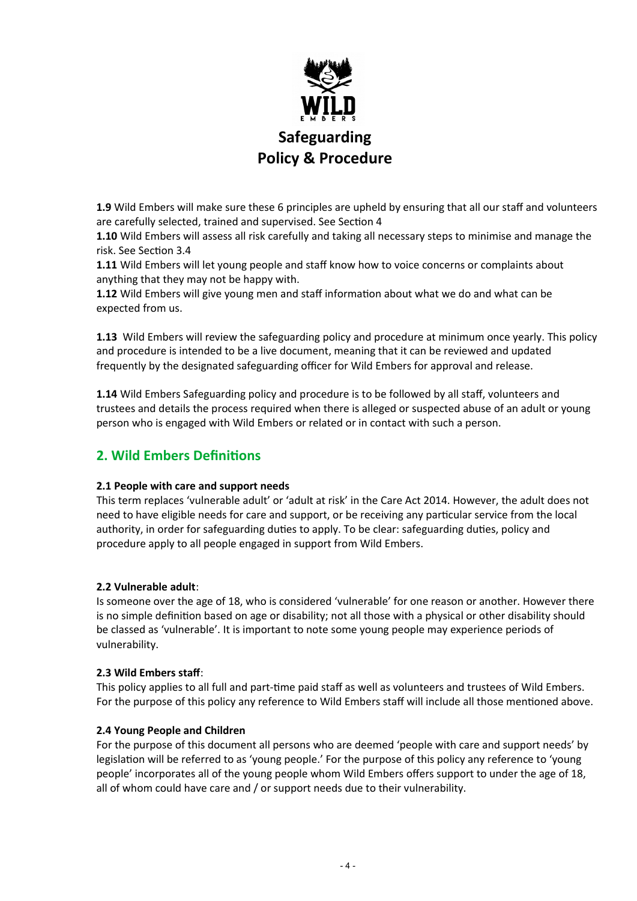

**1.9** Wild Embers will make sure these 6 principles are upheld by ensuring that all our staff and volunteers are carefully selected, trained and supervised. See Section 4

**1.10** Wild Embers will assess all risk carefully and taking all necessary steps to minimise and manage the risk. See Section 3.4

**1.11** Wild Embers will let young people and staff know how to voice concerns or complaints about anything that they may not be happy with.

**1.12** Wild Embers will give young men and staff information about what we do and what can be expected from us.

**1.13** Wild Embers will review the safeguarding policy and procedure at minimum once yearly. This policy and procedure is intended to be a live document, meaning that it can be reviewed and updated frequently by the designated safeguarding officer for Wild Embers for approval and release.

**1.14** Wild Embers Safeguarding policy and procedure is to be followed by all staff, volunteers and trustees and details the process required when there is alleged or suspected abuse of an adult or young person who is engaged with Wild Embers or related or in contact with such a person.

# **2. Wild Embers Definitions**

## **2.1 People with care and support needs**

This term replaces 'vulnerable adult' or 'adult at risk' in the Care Act 2014. However, the adult does not need to have eligible needs for care and support, or be receiving any particular service from the local authority, in order for safeguarding duties to apply. To be clear: safeguarding duties, policy and procedure apply to all people engaged in support from Wild Embers.

### **2.2 Vulnerable adult**:

Is someone over the age of 18, who is considered 'vulnerable' for one reason or another. However there is no simple definition based on age or disability; not all those with a physical or other disability should be classed as 'vulnerable'. It is important to note some young people may experience periods of vulnerability.

### **2.3 Wild Embers staff**:

This policy applies to all full and part-time paid staff as well as volunteers and trustees of Wild Embers. For the purpose of this policy any reference to Wild Embers staff will include all those mentioned above.

### **2.4 Young People and Children**

For the purpose of this document all persons who are deemed 'people with care and support needs' by legislation will be referred to as 'young people.' For the purpose of this policy any reference to 'young people' incorporates all of the young people whom Wild Embers offers support to under the age of 18, all of whom could have care and / or support needs due to their vulnerability.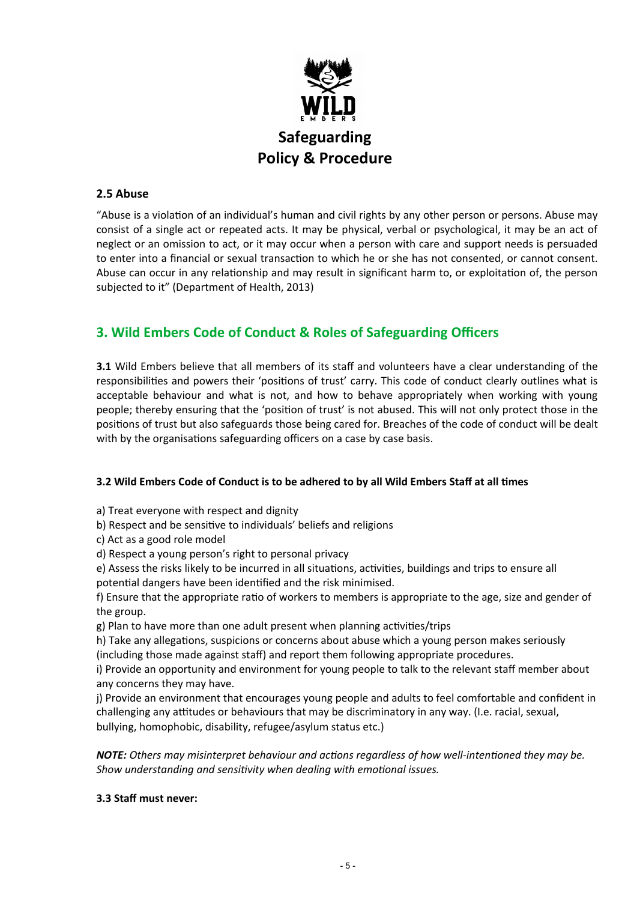

## **2.5 Abuse**

"Abuse is a violation of an individual's human and civil rights by any other person or persons. Abuse may consist of a single act or repeated acts. It may be physical, verbal or psychological, it may be an act of neglect or an omission to act, or it may occur when a person with care and support needs is persuaded to enter into a financial or sexual transaction to which he or she has not consented, or cannot consent. Abuse can occur in any relationship and may result in significant harm to, or exploitation of, the person subjected to it" (Department of Health, 2013)

# **3. Wild Embers Code of Conduct & Roles of Safeguarding Officers**

**3.1** Wild Embers believe that all members of its staff and volunteers have a clear understanding of the responsibilities and powers their 'positions of trust' carry. This code of conduct clearly outlines what is acceptable behaviour and what is not, and how to behave appropriately when working with young people; thereby ensuring that the 'position of trust' is not abused. This will not only protect those in the positions of trust but also safeguards those being cared for. Breaches of the code of conduct will be dealt with by the organisations safeguarding officers on a case by case basis.

## **3.2 Wild Embers Code of Conduct is to be adhered to by all Wild Embers Staff at all times**

a) Treat everyone with respect and dignity

- b) Respect and be sensitive to individuals' beliefs and religions
- c) Act as a good role model
- d) Respect a young person's right to personal privacy
- e) Assess the risks likely to be incurred in all situations, activities, buildings and trips to ensure all potential dangers have been identified and the risk minimised.

f) Ensure that the appropriate ratio of workers to members is appropriate to the age, size and gender of the group.

g) Plan to have more than one adult present when planning activities/trips

h) Take any allegations, suspicions or concerns about abuse which a young person makes seriously (including those made against staff) and report them following appropriate procedures.

i) Provide an opportunity and environment for young people to talk to the relevant staff member about any concerns they may have.

j) Provide an environment that encourages young people and adults to feel comfortable and confident in challenging any attitudes or behaviours that may be discriminatory in any way. (I.e. racial, sexual, bullying, homophobic, disability, refugee/asylum status etc.)

*NOTE: Others may misinterpret behaviour and actions regardless of how well-intentioned they may be. Show understanding and sensitivity when dealing with emotional issues.*

## **3.3 Staff must never:**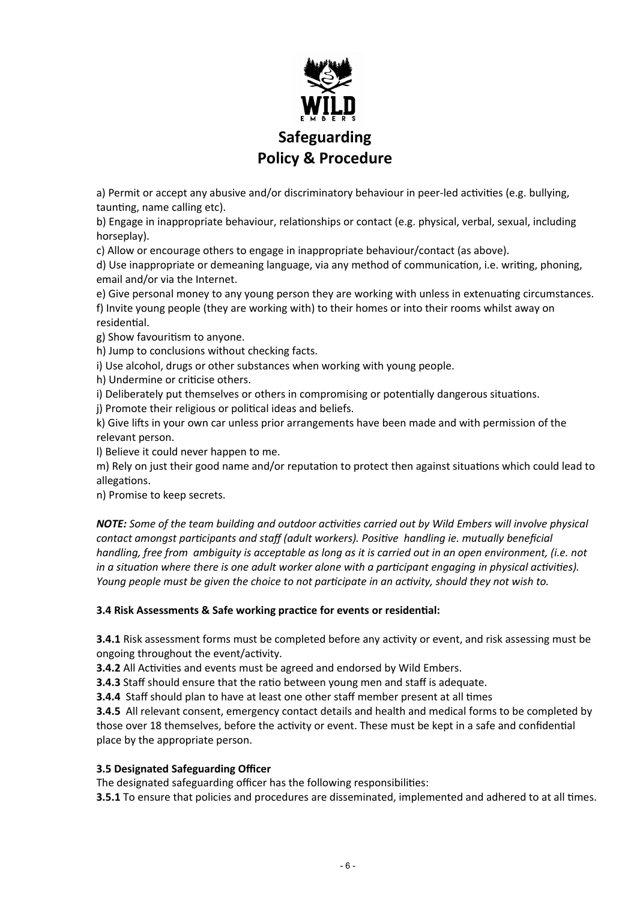

a) Permit or accept any abusive and/or discriminatory behaviour in peer-led activities (e.g. bullying, taunting, name calling etc).

b) Engage in inappropriate behaviour, relationships or contact (e.g. physical, verbal, sexual, including horseplay).

c) Allow or encourage others to engage in inappropriate behaviour/contact (as above).

d) Use inappropriate or demeaning language, via any method of communication, i.e. writing, phoning, email and/or via the Internet.

e) Give personal money to any young person they are working with unless in extenuating circumstances. f) Invite young people (they are working with) to their homes or into their rooms whilst away on residential.

g) Show favouritism to anyone.

h) Jump to conclusions without checking facts.

i) Use alcohol, drugs or other substances when working with young people.

h) Undermine or criticise others.

i) Deliberately put themselves or others in compromising or potentially dangerous situations.

j) Promote their religious or political ideas and beliefs.

k) Give lifts in your own car unless prior arrangements have been made and with permission of the relevant person.

l) Believe it could never happen to me.

m) Rely on just their good name and/or reputation to protect then against situations which could lead to allegations.

n) Promise to keep secrets.

*NOTE: Some of the team building and outdoor activities carried out by Wild Embers will involve physical contact amongst participants and staff (adult workers). Positive handling ie. mutually beneficial handling, free from ambiguity is acceptable as long as it is carried out in an open environment, (i.e. not in a situation where there is one adult worker alone with a participant engaging in physical activities). Young people must be given the choice to not participate in an activity, should they not wish to.*

### **3.4 Risk Assessments & Safe working practice for events or residential:**

**3.4.1** Risk assessment forms must be completed before any activity or event, and risk assessing must be ongoing throughout the event/activity.

**3.4.2** All Activities and events must be agreed and endorsed by Wild Embers.

**3.4.3** Staff should ensure that the ratio between young men and staff is adequate.

**3.4.4** Staff should plan to have at least one other staff member present at all times

**3.4.5** All relevant consent, emergency contact details and health and medical forms to be completed by those over 18 themselves, before the activity or event. These must be kept in a safe and confidential place by the appropriate person.

### **3.5 Designated Safeguarding Officer**

The designated safeguarding officer has the following responsibilities:

**3.5.1** To ensure that policies and procedures are disseminated, implemented and adhered to at all times.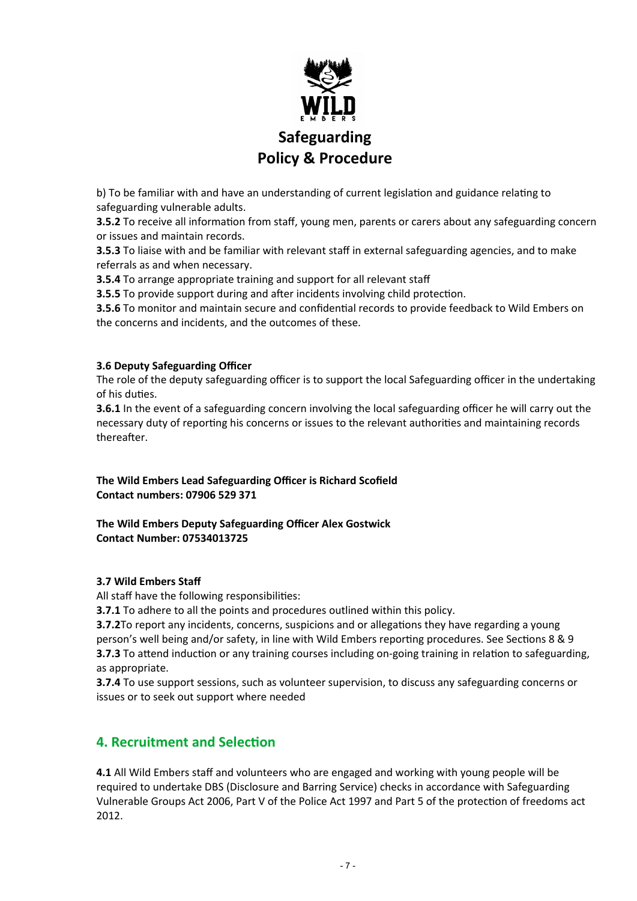

b) To be familiar with and have an understanding of current legislation and guidance relating to safeguarding vulnerable adults.

**3.5.2** To receive all information from staff, young men, parents or carers about any safeguarding concern or issues and maintain records.

**3.5.3** To liaise with and be familiar with relevant staff in external safeguarding agencies, and to make referrals as and when necessary.

**3.5.4** To arrange appropriate training and support for all relevant staff

**3.5.5** To provide support during and after incidents involving child protection.

**3.5.6** To monitor and maintain secure and confidential records to provide feedback to Wild Embers on the concerns and incidents, and the outcomes of these.

### **3.6 Deputy Safeguarding Officer**

The role of the deputy safeguarding officer is to support the local Safeguarding officer in the undertaking of his duties.

**3.6.1** In the event of a safeguarding concern involving the local safeguarding officer he will carry out the necessary duty of reporting his concerns or issues to the relevant authorities and maintaining records thereafter.

**The Wild Embers Lead Safeguarding Officer is Richard Scofield Contact numbers: 07906 529 371**

**The Wild Embers Deputy Safeguarding Officer Alex Gostwick Contact Number: 07534013725**

### **3.7 Wild Embers Staff**

All staff have the following responsibilities:

**3.7.1** To adhere to all the points and procedures outlined within this policy.

**3.7.2**To report any incidents, concerns, suspicions and or allegations they have regarding a young person's well being and/or safety, in line with Wild Embers reporting procedures. See Sections 8 & 9 **3.7.3** To attend induction or any training courses including on-going training in relation to safeguarding, as appropriate.

**3.7.4** To use support sessions, such as volunteer supervision, to discuss any safeguarding concerns or issues or to seek out support where needed

# **4. Recruitment and Selection**

**4.1** All Wild Embers staff and volunteers who are engaged and working with young people will be required to undertake DBS (Disclosure and Barring Service) checks in accordance with Safeguarding Vulnerable Groups Act 2006, Part V of the Police Act 1997 and Part 5 of the protection of freedoms act 2012.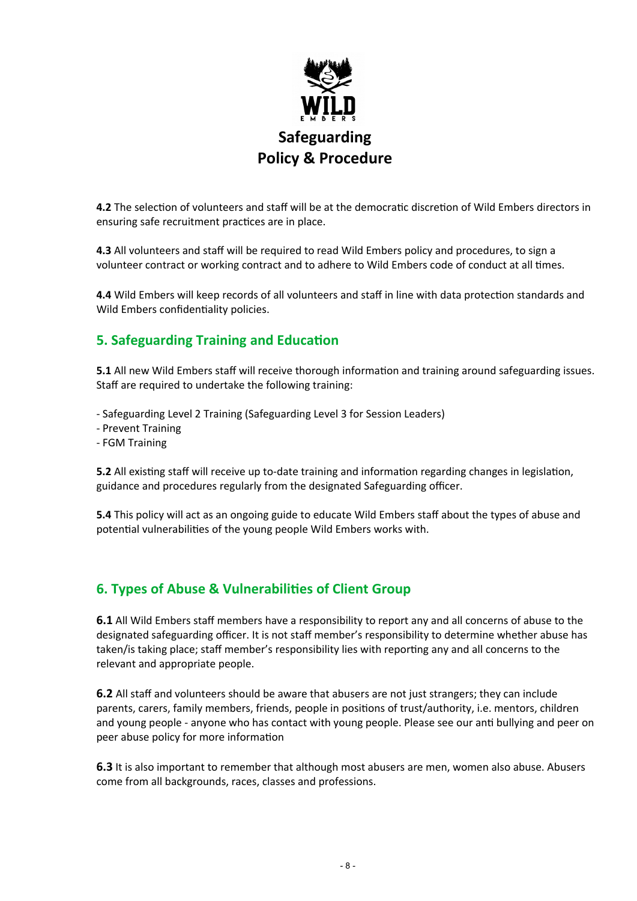

**4.2** The selection of volunteers and staff will be at the democratic discretion of Wild Embers directors in ensuring safe recruitment practices are in place.

**4.3** All volunteers and staff will be required to read Wild Embers policy and procedures, to sign a volunteer contract or working contract and to adhere to Wild Embers code of conduct at all times.

**4.4** Wild Embers will keep records of all volunteers and staff in line with data protection standards and Wild Embers confidentiality policies.

# **5. Safeguarding Training and Education**

**5.1** All new Wild Embers staff will receive thorough information and training around safeguarding issues. Staff are required to undertake the following training:

- Safeguarding Level 2 Training (Safeguarding Level 3 for Session Leaders)

- Prevent Training

- FGM Training

**5.2** All existing staff will receive up to-date training and information regarding changes in legislation, guidance and procedures regularly from the designated Safeguarding officer.

**5.4** This policy will act as an ongoing guide to educate Wild Embers staff about the types of abuse and potential vulnerabilities of the young people Wild Embers works with.

# **6. Types of Abuse & Vulnerabilities of Client Group**

**6.1** All Wild Embers staff members have a responsibility to report any and all concerns of abuse to the designated safeguarding officer. It is not staff member's responsibility to determine whether abuse has taken/is taking place; staff member's responsibility lies with reporting any and all concerns to the relevant and appropriate people.

**6.2** All staff and volunteers should be aware that abusers are not just strangers; they can include parents, carers, family members, friends, people in positions of trust/authority, i.e. mentors, children and young people - anyone who has contact with young people. Please see our anti bullying and peer on peer abuse policy for more information

**6.3** It is also important to remember that although most abusers are men, women also abuse. Abusers come from all backgrounds, races, classes and professions.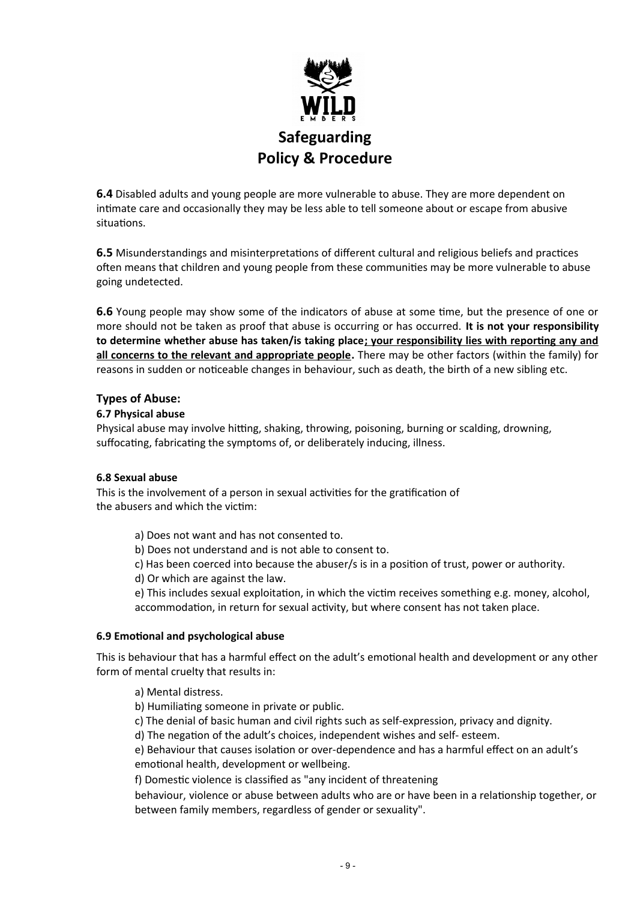

**6.4** Disabled adults and young people are more vulnerable to abuse. They are more dependent on intimate care and occasionally they may be less able to tell someone about or escape from abusive situations.

**6.5** Misunderstandings and misinterpretations of different cultural and religious beliefs and practices often means that children and young people from these communities may be more vulnerable to abuse going undetected.

**6.6** Young people may show some of the indicators of abuse at some time, but the presence of one or more should not be taken as proof that abuse is occurring or has occurred. **It is not your responsibility to determine whether abuse has taken/is taking place; your responsibility lies with reporting any and all concerns to the relevant and appropriate people.** There may be other factors (within the family) for reasons in sudden or noticeable changes in behaviour, such as death, the birth of a new sibling etc.

## **Types of Abuse:**

## **6.7 Physical abuse**

Physical abuse may involve hitting, shaking, throwing, poisoning, burning or scalding, drowning, suffocating, fabricating the symptoms of, or deliberately inducing, illness.

### **6.8 Sexual abuse**

This is the involvement of a person in sexual activities for the gratification of the abusers and which the victim:

- a) Does not want and has not consented to.
- b) Does not understand and is not able to consent to.

c) Has been coerced into because the abuser/s is in a position of trust, power or authority.

d) Or which are against the law.

e) This includes sexual exploitation, in which the victim receives something e.g. money, alcohol, accommodation, in return for sexual activity, but where consent has not taken place.

### **6.9 Emotional and psychological abuse**

This is behaviour that has a harmful effect on the adult's emotional health and development or any other form of mental cruelty that results in:

- a) Mental distress.
- b) Humiliating someone in private or public.
- c) The denial of basic human and civil rights such as self-expression, privacy and dignity.
- d) The negation of the adult's choices, independent wishes and self- esteem.

e) Behaviour that causes isolation or over-dependence and has a harmful effect on an adult's emotional health, development or wellbeing.

f) Domestic violence is classified as "any incident of threatening

behaviour, violence or abuse between adults who are or have been in a relationship together, or between family members, regardless of gender or sexuality".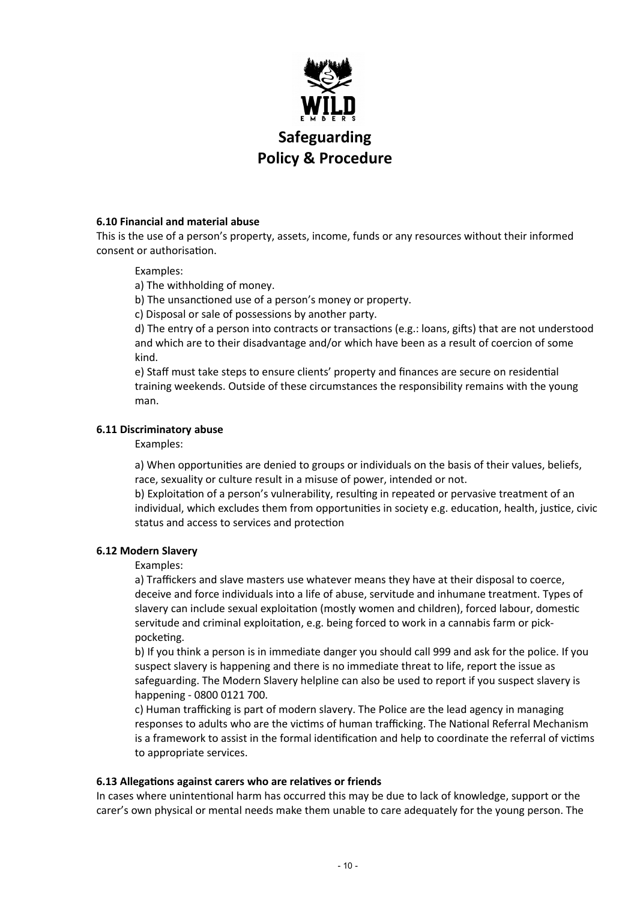

### **6.10 Financial and material abuse**

This is the use of a person's property, assets, income, funds or any resources without their informed consent or authorisation.

## Examples:

a) The withholding of money.

b) The unsanctioned use of a person's money or property.

c) Disposal or sale of possessions by another party.

d) The entry of a person into contracts or transactions (e.g.: loans, gifts) that are not understood and which are to their disadvantage and/or which have been as a result of coercion of some kind.

e) Staff must take steps to ensure clients' property and finances are secure on residential training weekends. Outside of these circumstances the responsibility remains with the young man.

## **6.11 Discriminatory abuse**

Examples:

a) When opportunities are denied to groups or individuals on the basis of their values, beliefs, race, sexuality or culture result in a misuse of power, intended or not.

b) Exploitation of a person's vulnerability, resulting in repeated or pervasive treatment of an individual, which excludes them from opportunities in society e.g. education, health, justice, civic status and access to services and protection

## **6.12 Modern Slavery**

Examples:

a) Traffickers and slave masters use whatever means they have at their disposal to coerce, deceive and force individuals into a life of abuse, servitude and inhumane treatment. Types of slavery can include sexual exploitation (mostly women and children), forced labour, domestic servitude and criminal exploitation, e.g. being forced to work in a cannabis farm or pickpocketing.

b) If you think a person is in immediate danger you should call 999 and ask for the police. If you suspect slavery is happening and there is no immediate threat to life, report the issue as safeguarding. The Modern Slavery helpline can also be used to report if you suspect slavery is happening - 0800 0121 700.

c) Human trafficking is part of modern slavery. The Police are the lead agency in managing responses to adults who are the victims of human trafficking. The National Referral Mechanism is a framework to assist in the formal identification and help to coordinate the referral of victims to appropriate services.

## **6.13 Allegations against carers who are relatives or friends**

In cases where unintentional harm has occurred this may be due to lack of knowledge, support or the carer's own physical or mental needs make them unable to care adequately for the young person. The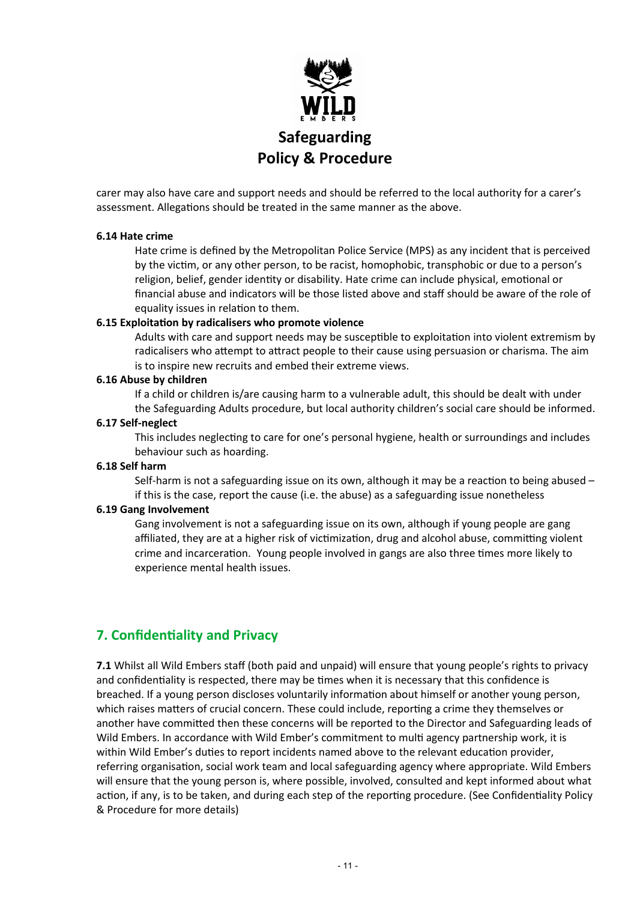

carer may also have care and support needs and should be referred to the local authority for a carer's assessment. Allegations should be treated in the same manner as the above.

#### **6.14 Hate crime**

Hate crime is defined by the Metropolitan Police Service (MPS) as any incident that is perceived by the victim, or any other person, to be racist, homophobic, transphobic or due to a person's religion, belief, gender identity or disability. Hate crime can include physical, emotional or financial abuse and indicators will be those listed above and staff should be aware of the role of equality issues in relation to them.

#### **6.15 Exploitation by radicalisers who promote violence**

Adults with care and support needs may be susceptible to exploitation into violent extremism by radicalisers who attempt to attract people to their cause using persuasion or charisma. The aim is to inspire new recruits and embed their extreme views.

#### **6.16 Abuse by children**

If a child or children is/are causing harm to a vulnerable adult, this should be dealt with under the Safeguarding Adults procedure, but local authority children's social care should be informed.

#### **6.17 Self-neglect**

This includes neglecting to care for one's personal hygiene, health or surroundings and includes behaviour such as hoarding.

#### **6.18 Self harm**

Self-harm is not a safeguarding issue on its own, although it may be a reaction to being abused – if this is the case, report the cause (i.e. the abuse) as a safeguarding issue nonetheless

#### **6.19 Gang Involvement**

Gang involvement is not a safeguarding issue on its own, although if young people are gang affiliated, they are at a higher risk of victimization, drug and alcohol abuse, committing violent crime and incarceration. Young people involved in gangs are also three times more likely to experience mental health issues.

# **7. Confidentiality and Privacy**

**7.1** Whilst all Wild Embers staff (both paid and unpaid) will ensure that young people's rights to privacy and confidentiality is respected, there may be times when it is necessary that this confidence is breached. If a young person discloses voluntarily information about himself or another young person, which raises matters of crucial concern. These could include, reporting a crime they themselves or another have committed then these concerns will be reported to the Director and Safeguarding leads of Wild Embers. In accordance with Wild Ember's commitment to multi agency partnership work, it is within Wild Ember's duties to report incidents named above to the relevant education provider, referring organisation, social work team and local safeguarding agency where appropriate. Wild Embers will ensure that the young person is, where possible, involved, consulted and kept informed about what action, if any, is to be taken, and during each step of the reporting procedure. (See Confidentiality Policy & Procedure for more details)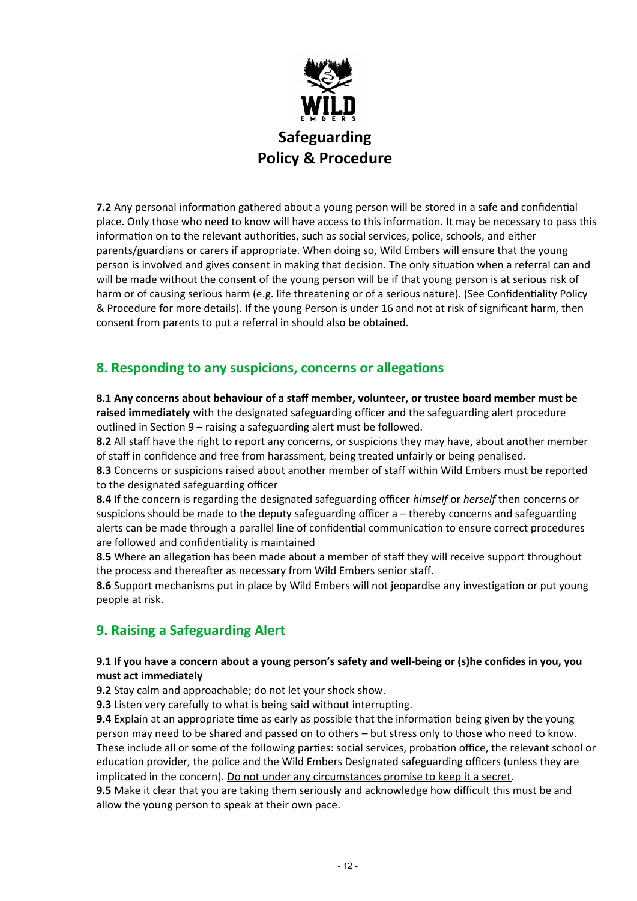

**7.2** Any personal information gathered about a young person will be stored in a safe and confidential place. Only those who need to know will have access to this information. It may be necessary to pass this information on to the relevant authorities, such as social services, police, schools, and either parents/guardians or carers if appropriate. When doing so, Wild Embers will ensure that the young person is involved and gives consent in making that decision. The only situation when a referral can and will be made without the consent of the young person will be if that young person is at serious risk of harm or of causing serious harm (e.g. life threatening or of a serious nature). (See Confidentiality Policy & Procedure for more details). If the young Person is under 16 and not at risk of significant harm, then consent from parents to put a referral in should also be obtained.

# **8. Responding to any suspicions, concerns or allegations**

**8.1 Any concerns about behaviour of a staff member, volunteer, or trustee board member must be raised immediately** with the designated safeguarding officer and the safeguarding alert procedure outlined in Section 9 – raising a safeguarding alert must be followed.

**8.2** All staff have the right to report any concerns, or suspicions they may have, about another member of staff in confidence and free from harassment, being treated unfairly or being penalised.

**8.3** Concerns or suspicions raised about another member of staff within Wild Embers must be reported to the designated safeguarding officer

**8.4** If the concern is regarding the designated safeguarding officer *himself* or *herself* then concerns or suspicions should be made to the deputy safeguarding officer a – thereby concerns and safeguarding alerts can be made through a parallel line of confidential communication to ensure correct procedures are followed and confidentiality is maintained

**8.5** Where an allegation has been made about a member of staff they will receive support throughout the process and thereafter as necessary from Wild Embers senior staff.

**8.6** Support mechanisms put in place by Wild Embers will not jeopardise any investigation or put young people at risk.

# **9. Raising a Safeguarding Alert**

## **9.1 If you have a concern about a young person's safety and well-being or (s)he confides in you, you must act immediately**

**9.2** Stay calm and approachable; do not let your shock show.

**9.3** Listen very carefully to what is being said without interrupting.

**9.4** Explain at an appropriate time as early as possible that the information being given by the young person may need to be shared and passed on to others – but stress only to those who need to know. These include all or some of the following parties: social services, probation office, the relevant school or education provider, the police and the Wild Embers Designated safeguarding officers (unless they are implicated in the concern). Do not under any circumstances promise to keep it a secret.

**9.5** Make it clear that you are taking them seriously and acknowledge how difficult this must be and allow the young person to speak at their own pace.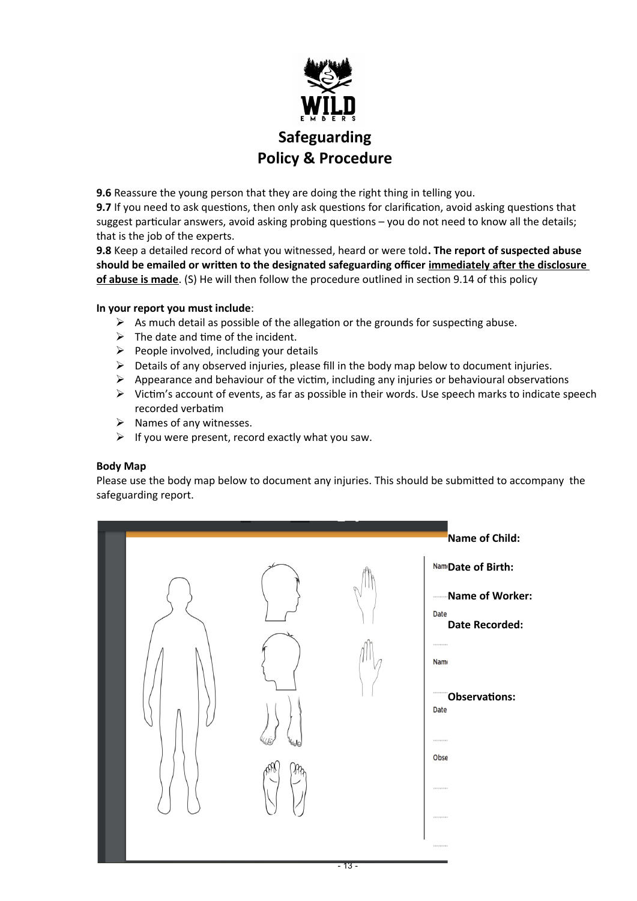

**9.6** Reassure the young person that they are doing the right thing in telling you.

**9.7** If you need to ask questions, then only ask questions for clarification, avoid asking questions that suggest particular answers, avoid asking probing questions – you do not need to know all the details; that is the job of the experts.

**9.8** Keep a detailed record of what you witnessed, heard or were told**. The report of suspected abuse should be emailed or written to the designated safeguarding officer immediately after the disclosure of abuse is made**. (S) He will then follow the procedure outlined in section 9.14 of this policy

## **In your report you must include**:

- $\triangleright$  As much detail as possible of the allegation or the grounds for suspecting abuse.
- $\triangleright$  The date and time of the incident.
- $\triangleright$  People involved, including your details
- $\triangleright$  Details of any observed injuries, please fill in the body map below to document injuries.
- $\triangleright$  Appearance and behaviour of the victim, including any injuries or behavioural observations
- $\triangleright$  Victim's account of events, as far as possible in their words. Use speech marks to indicate speech recorded verbatim
- $\triangleright$  Names of any witnesses.
- $\triangleright$  If you were present, record exactly what you saw.

### **Body Map**

Please use the body map below to document any injuries. This should be submitted to accompany the safeguarding report.

|  |  | Name of Child:                       |
|--|--|--------------------------------------|
|  |  | Nam <sub>®</sub> Date of Birth:      |
|  |  | -----Name of Worker:                 |
|  |  | <b>Date</b><br><b>Date Recorded:</b> |
|  |  | <br><b>Name</b>                      |
|  |  | <b>CODSERVATIONS:</b>                |
|  |  | Date                                 |
|  |  | *********                            |
|  |  | Obse                                 |
|  |  |                                      |
|  |  |                                      |
|  |  |                                      |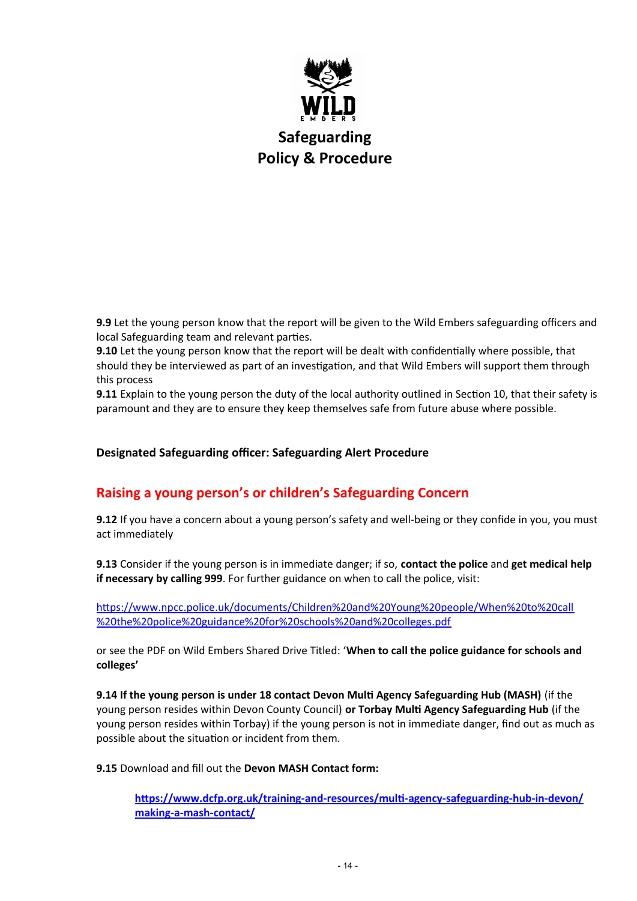

**9.9** Let the young person know that the report will be given to the Wild Embers safeguarding officers and local Safeguarding team and relevant parties.

**9.10** Let the young person know that the report will be dealt with confidentially where possible, that should they be interviewed as part of an investigation, and that Wild Embers will support them through this process

**9.11** Explain to the young person the duty of the local authority outlined in Section 10, that their safety is paramount and they are to ensure they keep themselves safe from future abuse where possible.

**Designated Safeguarding officer: Safeguarding Alert Procedure**

# **Raising a young person's or children's Safeguarding Concern**

**9.12** If you have a concern about a young person's safety and well-being or they confide in you, you must act immediately

**9.13** Consider if the young person is in immediate danger; if so, **contact the police** and **get medical help if necessary by calling 999**. For further guidance on when to call the police, visit:

[https://www.npcc.police.uk/documents/Children%20and%20Young%20people/When%20to%20call](https://www.npcc.police.uk/documents/Children%20and%20Young%20people/When%20to%20call%20the%20police%20guidance%20for%20schools%20and%20colleges.pdf) [%20the%20police%20guidance%20for%20schools%20and%20colleges.pdf](https://www.npcc.police.uk/documents/Children%20and%20Young%20people/When%20to%20call%20the%20police%20guidance%20for%20schools%20and%20colleges.pdf)

or see the PDF on Wild Embers Shared Drive Titled: '**When to call the police guidance for schools and colleges'** 

**9.14 If the young person is under 18 contact Devon Multi Agency Safeguarding Hub (MASH)** (if the young person resides within Devon County Council) **or Torbay Multi Agency Safeguarding Hub** (if the young person resides within Torbay) if the young person is not in immediate danger, find out as much as possible about the situation or incident from them.

**9.15** Download and fill out the **Devon MASH Contact form:**

**[https://www.dcfp.org.uk/training-and-resources/multi-agency-safeguarding-hub-in-devon/](https://www.dcfp.org.uk/training-and-resources/multi-agency-safeguarding-hub-in-devon/making-a-mash-contact/) [making-a-mash-contact/](https://www.dcfp.org.uk/training-and-resources/multi-agency-safeguarding-hub-in-devon/making-a-mash-contact/)**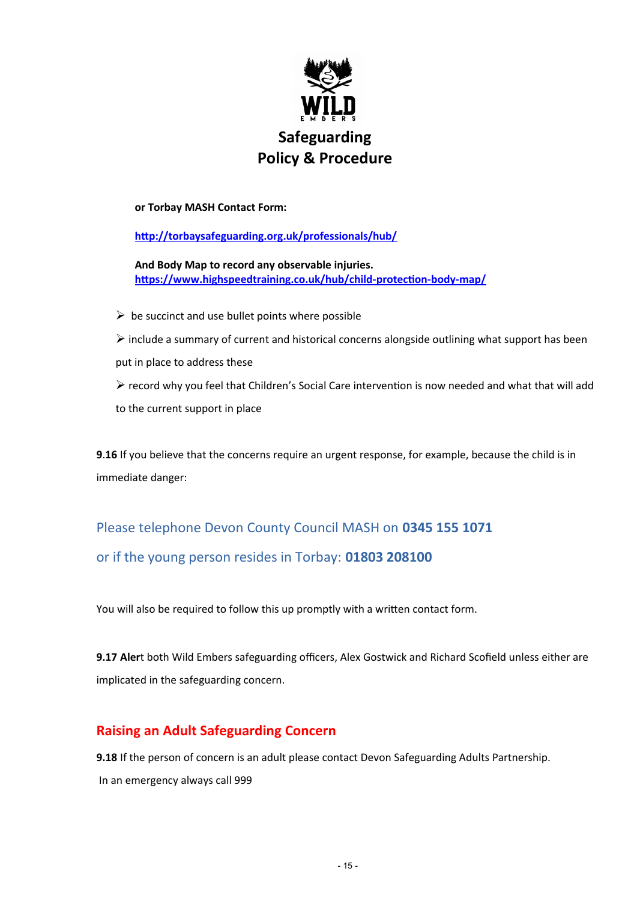

**or Torbay MASH Contact Form:**

**<http://torbaysafeguarding.org.uk/professionals/hub/>**

**And Body Map to record any observable injuries. <https://www.highspeedtraining.co.uk/hub/child-protection-body-map/>**

 $\triangleright$  be succinct and use bullet points where possible

 $\triangleright$  include a summary of current and historical concerns alongside outlining what support has been put in place to address these

 record why you feel that Children's Social Care intervention is now needed and what that will add to the current support in place

**9**.**16** If you believe that the concerns require an urgent response, for example, because the child is in immediate danger:

# Please telephone Devon County Council MASH on **0345 155 1071** or if the young person resides in Torbay: **01803 208100**

You will also be required to follow this up promptly with a written contact form.

**9.17 Aler**t both Wild Embers safeguarding officers, Alex Gostwick and Richard Scofield unless either are implicated in the safeguarding concern.

# **Raising an Adult Safeguarding Concern**

**9.18** If the person of concern is an adult please contact Devon Safeguarding Adults Partnership.

In an emergency always call 999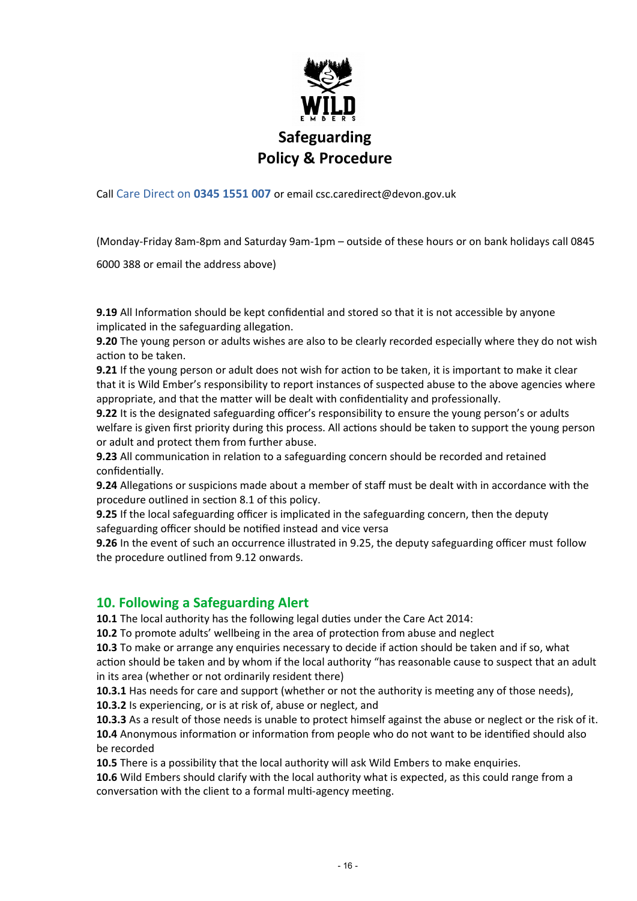

Call Care Direct on **0345 1551 007** or email [csc.caredirect@devon.gov.uk](mailto:csc.caredirect@devon.gov.uk)

(Monday-Friday 8am-8pm and Saturday 9am-1pm – outside of these hours or on bank holidays call 0845

6000 388 or email the address above)

**9.19** All Information should be kept confidential and stored so that it is not accessible by anyone implicated in the safeguarding allegation.

**9.20** The young person or adults wishes are also to be clearly recorded especially where they do not wish action to be taken.

**9.21** If the young person or adult does not wish for action to be taken, it is important to make it clear that it is Wild Ember's responsibility to report instances of suspected abuse to the above agencies where appropriate, and that the matter will be dealt with confidentiality and professionally.

**9.22** It is the designated safeguarding officer's responsibility to ensure the young person's or adults welfare is given first priority during this process. All actions should be taken to support the young person or adult and protect them from further abuse.

**9.23** All communication in relation to a safeguarding concern should be recorded and retained confidentially.

**9.24** Allegations or suspicions made about a member of staff must be dealt with in accordance with the procedure outlined in section 8.1 of this policy.

**9.25** If the local safeguarding officer is implicated in the safeguarding concern, then the deputy safeguarding officer should be notified instead and vice versa

**9.26** In the event of such an occurrence illustrated in 9.25, the deputy safeguarding officer must follow the procedure outlined from 9.12 onwards.

# **10. Following a Safeguarding Alert**

**10.1** The local authority has the following legal duties under the Care Act 2014:

**10.2** To promote adults' wellbeing in the area of protection from abuse and neglect

**10.3** To make or arrange any enquiries necessary to decide if action should be taken and if so, what action should be taken and by whom if the local authority "has reasonable cause to suspect that an adult in its area (whether or not ordinarily resident there)

**10.3.1** Has needs for care and support (whether or not the authority is meeting any of those needs),

**10.3.2** Is experiencing, or is at risk of, abuse or neglect, and

**10.3.3** As a result of those needs is unable to protect himself against the abuse or neglect or the risk of it. **10.4** Anonymous information or information from people who do not want to be identified should also be recorded

**10.5** There is a possibility that the local authority will ask Wild Embers to make enquiries.

**10.6** Wild Embers should clarify with the local authority what is expected, as this could range from a conversation with the client to a formal multi-agency meeting.